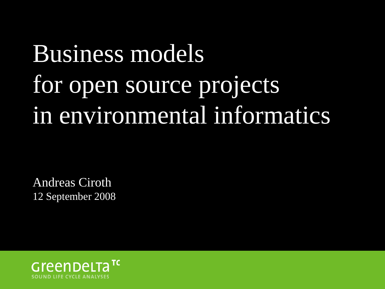# Business models for open source projects in environmental informatics

Andreas Ciroth 12 September 2008

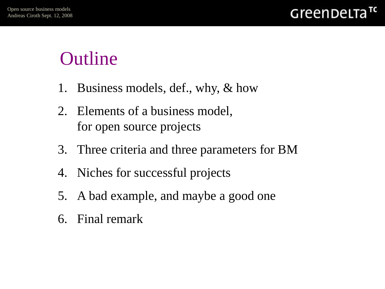### **Outline**

- 1. Business models, def., why, & how
- 2. Elements of a business model, for open source projects
- 3. Three criteria and three parameters for BM
- 4. Niches for successful projects
- 5. A bad example, and maybe a good one
- 6. Final remark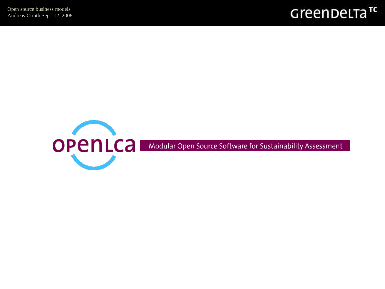

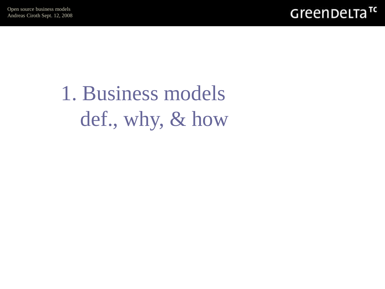

1. Business models def., why, & how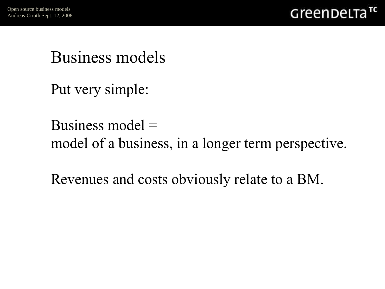

#### Business models

Put very simple:

#### Business model = model of a business, in a longer term perspective.

Revenues and costs obviously relate to a BM.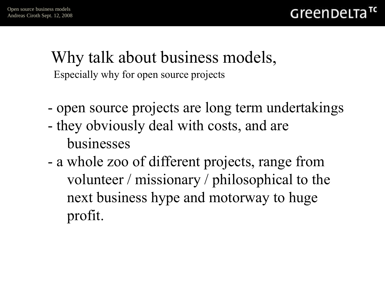#### Especially why for open source projects Why talk about business models,

- open source projects are long term undertakings
- they obviously deal with costs, and are businesses
- a whole zoo of different projects, range from volunteer / missionary / philosophical to the next business hype and motorway to huge profit.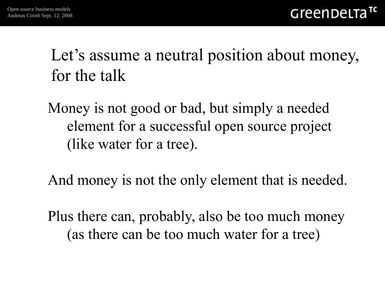Let's assume a neutral position about money, for the talk

Money is not good or bad, but simply a needed element for a successful open source project (like water for a tree).

And money is not the only element that is needed.

Plus there can, probably, also be too much money (as there can be too much water for a tree)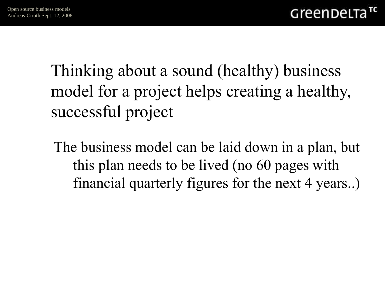Thinking about a sound (healthy) business model for a project helps creating a healthy, successful project

The business model can be laid down in a plan, but this plan needs to be lived (no 60 pages with financial quarterly figures for the next 4 years..)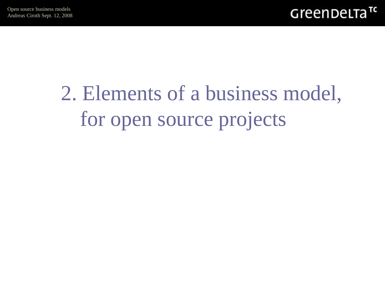# 2. Elements of a business model, for open source projects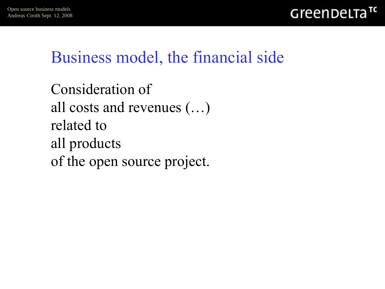

#### Business model, the financial side

```
Consideration of 
all costs and revenues (…) 
related to 
all products 
of the open source project.
```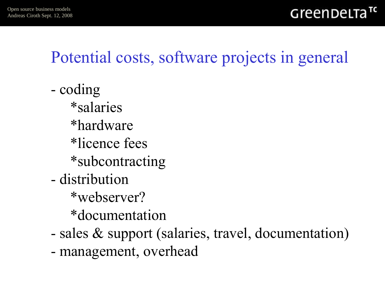### Potential costs, software projects in general

- coding \*salaries \*hardware \*licence fees \*subcontracting - distribution \*webserver? \*documentation
- sales & support (salaries, travel, documentation)
- management, overhead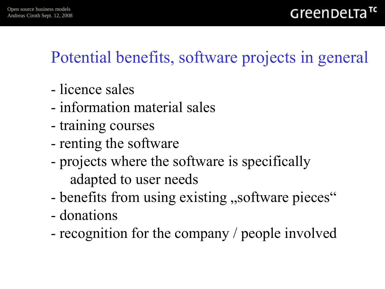### Potential benefits, software projects in general

- licence sales
- information material sales
- training courses
- renting the software
- projects where the software is specifically adapted to user needs
- benefits from using existing , software pieces"
- donations
- recognition for the company / people involved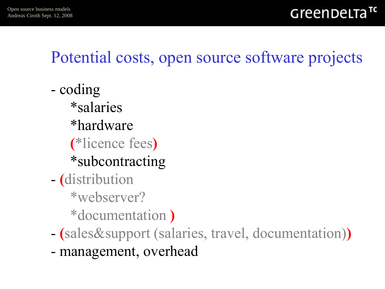### Potential costs, open source software projects

- coding \*salaries \*hardware (\*licence fees) \*subcontracting - (distribution \*webserver? \*documentation )
- (sales&support (salaries, travel, documentation))
- management, overhead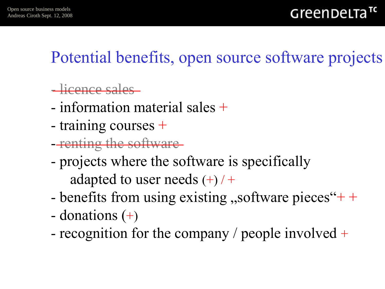### Potential benefits, open source software projects

- licence sales
- information material sales +
- training courses +
- renting the software
- projects where the software is specifically adapted to user needs  $(+)$  / +
- benefits from using existing  $,$ software pieces" $+$  +
- donations  $(+)$
- recognition for the company / people involved +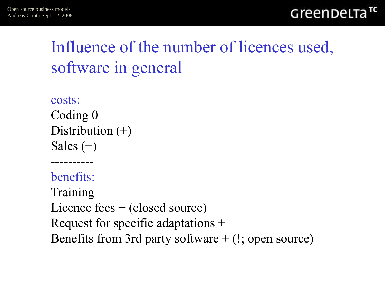### Influence of the number of licences used, software in general

```
costs:
Coding 0
Distribution (+)Sales (+)
```
----------

benefits: Training + Licence fees + (closed source) Request for specific adaptations + Benefits from 3rd party software  $+$  (!; open source)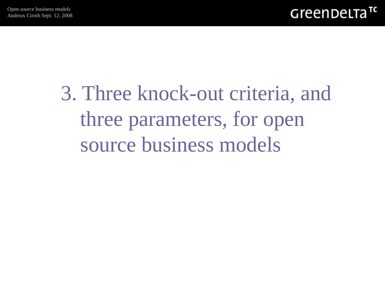# 3. Three knock-out criteria, and three parameters, for open source business models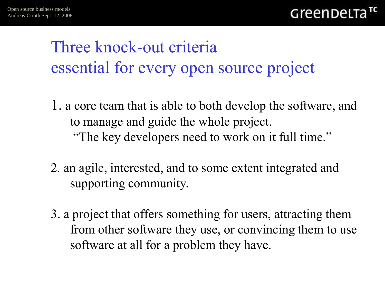### Three knock-out criteria essential for every open source project

- 1. a core team that is able to both develop the software, and to manage and guide the whole project. "The key developers need to work on it full time."
- 2*.* an agile, interested, and to some extent integrated and supporting community.
- 3. a project that offers something for users, attracting them from other software they use, or convincing them to use software at all for a problem they have.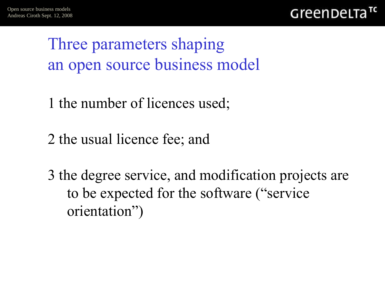GreenDeLTa

Three parameters shaping an open source business model

- 1 the number of licences used;
- 2 the usual licence fee; and
- 3 the degree service, and modification projects are to be expected for the software ("service orientation")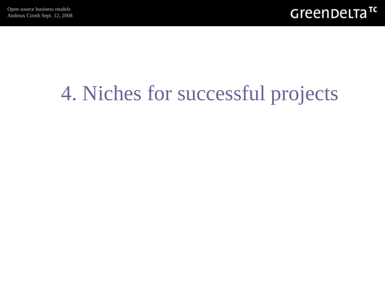

### 4. Niches for successful projects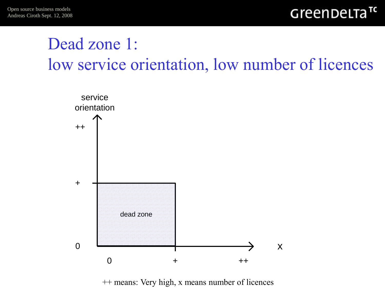### Dead zone 1: low service orientation, low number of licences



++ means: Very high, x means number of licences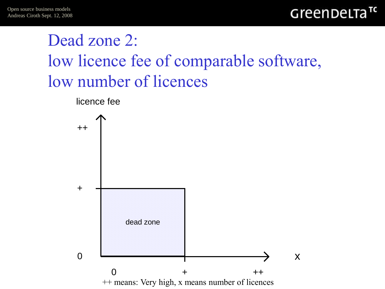### Dead zone 2: low licence fee of comparable software, low number of licences

licence fee

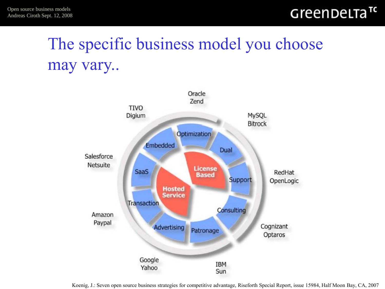### The specific business model you choose may vary..



Koenig, J.: Seven open source business strategies for competitive advantage, Riseforth Special Report, issue 15984, Half Moon Bay, CA, 2007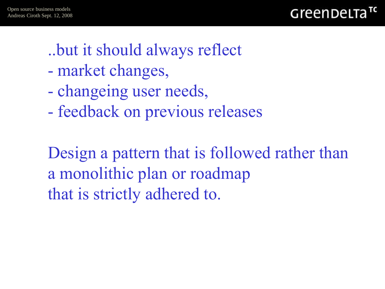

- ..but it should always reflect
- market changes,
- changeing user needs,
- feedback on previous releases

Design a pattern that is followed rather than a monolithic plan or roadmap that is strictly adhered to.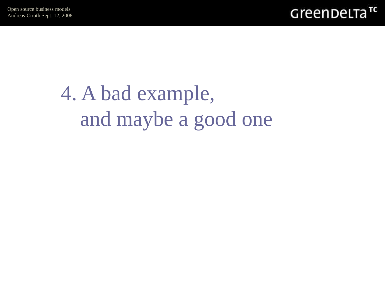

# 4. A bad example, and maybe a good one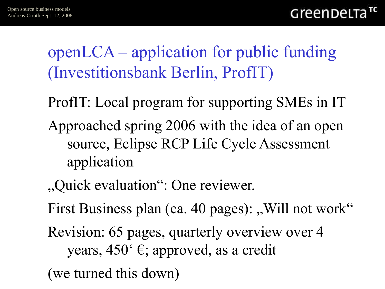openLCA – application for public funding (Investitionsbank Berlin, ProfIT)

- ProfIT: Local program for supporting SMEs in IT
- Approached spring 2006 with the idea of an open source, Eclipse RCP Life Cycle Assessment application
- "Quick evaluation": One reviewer.
- First Business plan (ca. 40 pages): "Will not work"
- Revision: 65 pages, quarterly overview over 4 years, 450' €; approved, as a credit
- (we turned this down)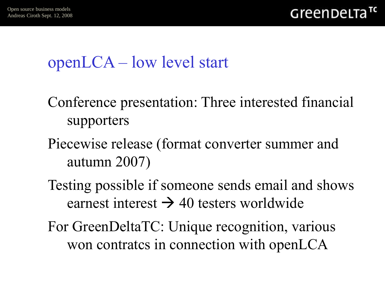### openLCA – low level start

- Conference presentation: Three interested financial supporters
- Piecewise release (format converter summer and autumn 2007)
- Testing possible if someone sends email and shows earnest interest  $\rightarrow$  40 testers worldwide
- For GreenDeltaTC: Unique recognition, various won contratcs in connection with openLCA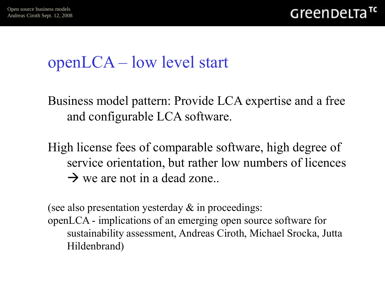### openLCA – low level start

Business model pattern: Provide LCA expertise and a free and configurable LCA software.

High license fees of comparable software, high degree of service orientation, but rather low numbers of licences  $\rightarrow$  we are not in a dead zone..

(see also presentation yesterday & in proceedings: openLCA - implications of an emerging open source software for sustainability assessment, Andreas Ciroth, Michael Srocka, Jutta Hildenbrand)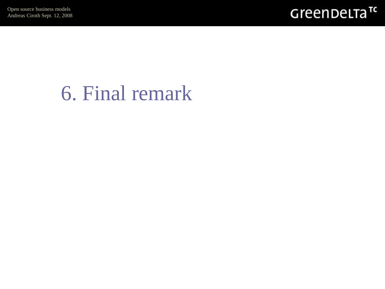

### 6. Final remark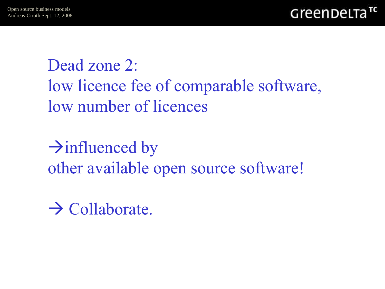Dead zone 2: low licence fee of comparable software, low number of licences

 $\rightarrow$  influenced by other available open source software!

 $\rightarrow$  Collaborate.